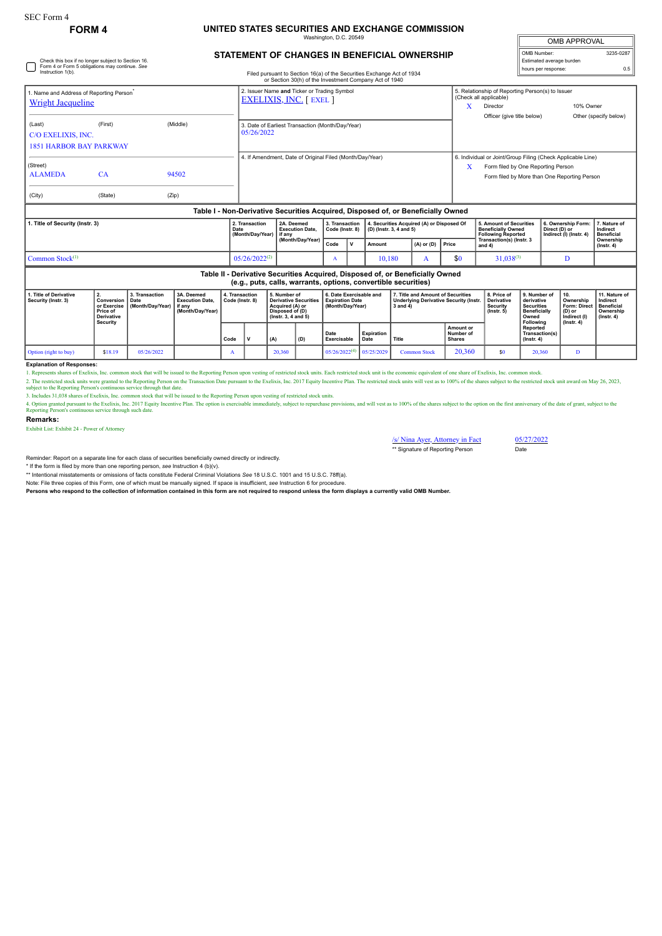# **FORM 4 UNITED STATES SECURITIES AND EXCHANGE COMMISSION**

Washington, D.C. 20549

| <b>OMB APPROVAL</b>      |           |  |  |  |  |  |  |  |
|--------------------------|-----------|--|--|--|--|--|--|--|
| OMB Number:              | 3235-0287 |  |  |  |  |  |  |  |
| Estimated average burden |           |  |  |  |  |  |  |  |
| hours per response:      | ሰ 5       |  |  |  |  |  |  |  |

## **STATEMENT OF CHANGES IN BENEFICIAL OWNERSHIP**

| Check this box if no longer subject to Section 16.<br>Form 4 or Form 5 obligations may continue. See<br>Instruction 1(b).<br>Filed pursuant to Section 16(a) of the Securities Exchange Act of 1934<br>or Section 30(h) of the Investment Company Act of 1940 |                                                                              |                                            |                                                                    |      |                                                                               |     |                                                                                                                                                 |                             |                                                                       |                   |                                                                                                     |                                           |                                                                                  | Estimated average burden<br>hours per response:                                                                                                   |                                                                                              |                | 0.5                                                                                   |                                                                                 |  |
|---------------------------------------------------------------------------------------------------------------------------------------------------------------------------------------------------------------------------------------------------------------|------------------------------------------------------------------------------|--------------------------------------------|--------------------------------------------------------------------|------|-------------------------------------------------------------------------------|-----|-------------------------------------------------------------------------------------------------------------------------------------------------|-----------------------------|-----------------------------------------------------------------------|-------------------|-----------------------------------------------------------------------------------------------------|-------------------------------------------|----------------------------------------------------------------------------------|---------------------------------------------------------------------------------------------------------------------------------------------------|----------------------------------------------------------------------------------------------|----------------|---------------------------------------------------------------------------------------|---------------------------------------------------------------------------------|--|
| 1. Name and Address of Reporting Person <sup>®</sup><br><b>Wright Jacqueline</b>                                                                                                                                                                              |                                                                              |                                            |                                                                    |      | 2. Issuer Name and Ticker or Trading Symbol<br><b>EXELIXIS, INC.</b> [ EXEL ] |     |                                                                                                                                                 |                             |                                                                       |                   |                                                                                                     |                                           | X                                                                                | 5. Relationship of Reporting Person(s) to Issuer<br>(Check all applicable)<br>10% Owner<br>Director                                               |                                                                                              |                |                                                                                       |                                                                                 |  |
| (Last)<br>C/O EXELIXIS, INC.<br><b>1851 HARBOR BAY PARKWAY</b>                                                                                                                                                                                                | (First)                                                                      |                                            | (Middle)                                                           |      | 3. Date of Earliest Transaction (Month/Day/Year)<br>05/26/2022                |     |                                                                                                                                                 |                             |                                                                       |                   |                                                                                                     |                                           |                                                                                  | Officer (give title below)                                                                                                                        |                                                                                              |                |                                                                                       | Other (specify below)                                                           |  |
| (Street)<br><b>ALAMEDA</b><br>(City)                                                                                                                                                                                                                          | CA<br>(State)                                                                | (Zip)                                      | 94502                                                              |      | 4. If Amendment, Date of Original Filed (Month/Day/Year)                      |     |                                                                                                                                                 |                             |                                                                       |                   |                                                                                                     |                                           | X                                                                                | 6. Individual or Joint/Group Filing (Check Applicable Line)<br>Form filed by One Reporting Person<br>Form filed by More than One Reporting Person |                                                                                              |                |                                                                                       |                                                                                 |  |
|                                                                                                                                                                                                                                                               |                                                                              |                                            |                                                                    |      |                                                                               |     |                                                                                                                                                 |                             |                                                                       |                   |                                                                                                     |                                           | Table I - Non-Derivative Securities Acquired, Disposed of, or Beneficially Owned |                                                                                                                                                   |                                                                                              |                |                                                                                       |                                                                                 |  |
| 1. Title of Security (Instr. 3)                                                                                                                                                                                                                               |                                                                              |                                            |                                                                    | Date | 2. Transaction<br>(Month/Day/Year)                                            |     | 2A. Deemed<br><b>Execution Date.</b><br>if anv                                                                                                  |                             | 3. Transaction<br>Code (Instr. 8)                                     |                   | (D) (Instr. 3, 4 and 5)                                                                             | 4. Securities Acquired (A) or Disposed Of |                                                                                  | <b>Beneficially Owned</b><br><b>Following Reported</b>                                                                                            | 5. Amount of Securities                                                                      |                | 6. Ownership Form:<br>Direct (D) or<br>Indirect (I) (Instr. 4)                        | 7. Nature of<br>Indirect<br><b>Beneficial</b>                                   |  |
|                                                                                                                                                                                                                                                               |                                                                              |                                            |                                                                    |      |                                                                               |     | (Month/Day/Year)                                                                                                                                |                             | $\mathbf v$                                                           | Amount            | $(A)$ or $(D)$                                                                                      |                                           | <b>Price</b>                                                                     | Transaction(s) (Instr. 3<br>and 4)                                                                                                                |                                                                                              |                |                                                                                       | Ownership<br>$($ Instr. 4 $)$                                                   |  |
| Common Stock <sup>(1)</sup>                                                                                                                                                                                                                                   |                                                                              |                                            |                                                                    |      | $05/26/2022^{(2)}$                                                            |     | A                                                                                                                                               |                             | 10,180<br>A                                                           |                   | \$0                                                                                                 | $31,038^{(3)}$                            |                                                                                  | D                                                                                                                                                 |                                                                                              |                |                                                                                       |                                                                                 |  |
|                                                                                                                                                                                                                                                               |                                                                              |                                            |                                                                    |      |                                                                               |     | Table II - Derivative Securities Acquired, Disposed of, or Beneficially Owned<br>(e.g., puts, calls, warrants, options, convertible securities) |                             |                                                                       |                   |                                                                                                     |                                           |                                                                                  |                                                                                                                                                   |                                                                                              |                |                                                                                       |                                                                                 |  |
| 1. Title of Derivative<br>Security (Instr. 3)                                                                                                                                                                                                                 | 2.<br>Conversion<br>or Exercise<br>Price of<br><b>Derivative</b><br>Security | 3. Transaction<br>Date<br>(Month/Day/Year) | 3A. Deemed<br><b>Execution Date.</b><br>if anv<br>(Month/Day/Year) |      | 4. Transaction<br>Code (Instr. 8)                                             |     | 5. Number of<br><b>Derivative Securities</b><br>Acquired (A) or<br>Disposed of (D)<br>(Instr. 3, 4 and 5)                                       |                             | 6. Date Exercisable and<br><b>Expiration Date</b><br>(Month/Dav/Year) |                   | 7. Title and Amount of Securities<br><b>Underlying Derivative Security (Instr.</b><br>$3$ and $4$ ) |                                           |                                                                                  | 8. Price of<br><b>Derivative</b><br>Security<br>$($ lnstr. 5 $)$                                                                                  | 9. Number of<br>derivative<br><b>Securities</b><br><b>Beneficially</b><br>Owned<br>Following |                | 10.<br>Ownership<br><b>Form: Direct</b><br>(D) or<br>Indirect (I)<br>$($ lnstr. 4 $)$ | 11. Nature of<br>Indirect<br><b>Beneficial</b><br>Ownership<br>$($ lnstr. 4 $)$ |  |
|                                                                                                                                                                                                                                                               |                                                                              |                                            |                                                                    | Code |                                                                               | (A) | (D)                                                                                                                                             | Date<br>Exercisable<br>Date |                                                                       | <b>Expiration</b> | Title                                                                                               |                                           | Amount or<br>Number of<br><b>Shares</b>                                          |                                                                                                                                                   | <b>Reported</b><br>$($ Instr. 4 $)$                                                          | Transaction(s) |                                                                                       |                                                                                 |  |

#### **Explanation of Responses:**

1. Represents shares of Exelixis, Inc. common stock that will be issued to the Reporting Person upon vesting of restricted stock units. Each restricted stock unit is the economic equivalent of one share of Exelixis, Inc. c

Option (right to buy) \$18.19 05/26/2022 A 20,360 05/26/2022<sup>(4)</sup> 05/25/2029 Common Stock 20,360 \$0 20,360 D

2. The restricted stock units were granted to the Reporting Preson on the Transaction Date pursuant to the Exelixis, Inc. 2017 Equity Incentive Plan. The restricted stock units will vest as to 100% of the shares subject to

3. Includes 31,038 shares of Exelixis, Inc. common stock that will be issued to the Reporting Person upon vesting of restricted stock units.<br>4. Option granted pursuant to the Exelixis, Inc. 2017 Equity Incentive Plan. The

#### **Remarks:**

Exhibit List: Exhibit 24 - Power of Attorney

/s/ Nina Ayer, Attorney in Fact 05/27/2022<br>\*\* Signature of Reporting Person Date \*\* Signature of Reporting Person

Reminder: Report on a separate line for each class of securities beneficially owned directly or indirectly.

\* If the form is filed by more than one reporting person, *see* Instruction 4 (b)(v).

\*\* Intentional misstatements or omissions of facts constitute Federal Criminal Violations *See* 18 U.S.C. 1001 and 15 U.S.C. 78ff(a).

Note: File three copies of this Form, one of which must be manually signed. If space is insufficient, *see* Instruction 6 for procedure.

**Persons who respond to the collection of information contained in this form are not required to respond unless the form displays a currently valid OMB Number.**